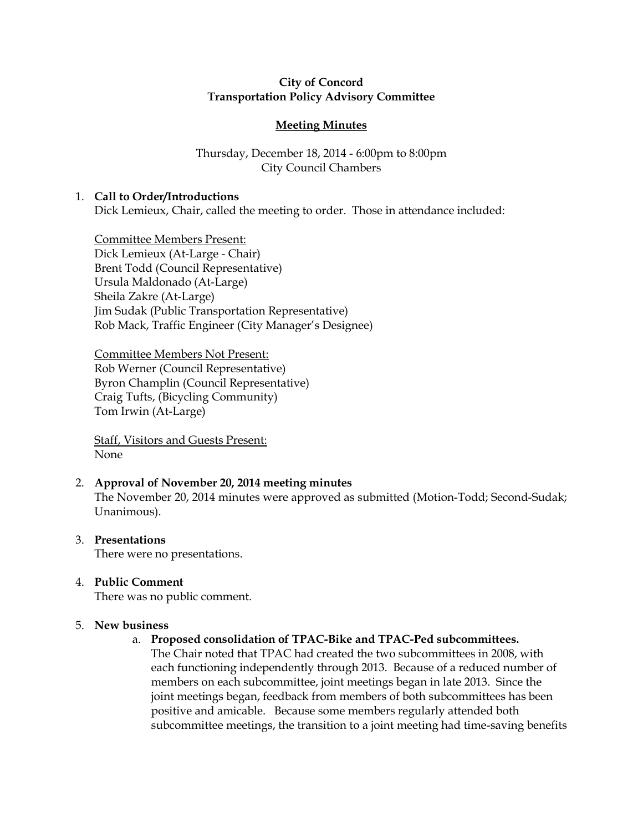# City of Concord Transportation Policy Advisory Committee

# Meeting Minutes

# Thursday, December 18, 2014 - 6:00pm to 8:00pm City Council Chambers

# 1. Call to Order/Introductions

Dick Lemieux, Chair, called the meeting to order. Those in attendance included:

Committee Members Present: Dick Lemieux (At-Large - Chair) Brent Todd (Council Representative) Ursula Maldonado (At-Large) Sheila Zakre (At-Large) Jim Sudak (Public Transportation Representative) Rob Mack, Traffic Engineer (City Manager's Designee)

Committee Members Not Present: Rob Werner (Council Representative) Byron Champlin (Council Representative) Craig Tufts, (Bicycling Community) Tom Irwin (At-Large)

Staff, Visitors and Guests Present: None

# 2. Approval of November 20, 2014 meeting minutes

The November 20, 2014 minutes were approved as submitted (Motion-Todd; Second-Sudak; Unanimous).

- 3. Presentations There were no presentations.
- 4. Public Comment

There was no public comment.

# 5. New business

- a. Proposed consolidation of TPAC-Bike and TPAC-Ped subcommittees.
	- The Chair noted that TPAC had created the two subcommittees in 2008, with each functioning independently through 2013. Because of a reduced number of members on each subcommittee, joint meetings began in late 2013. Since the joint meetings began, feedback from members of both subcommittees has been positive and amicable. Because some members regularly attended both subcommittee meetings, the transition to a joint meeting had time-saving benefits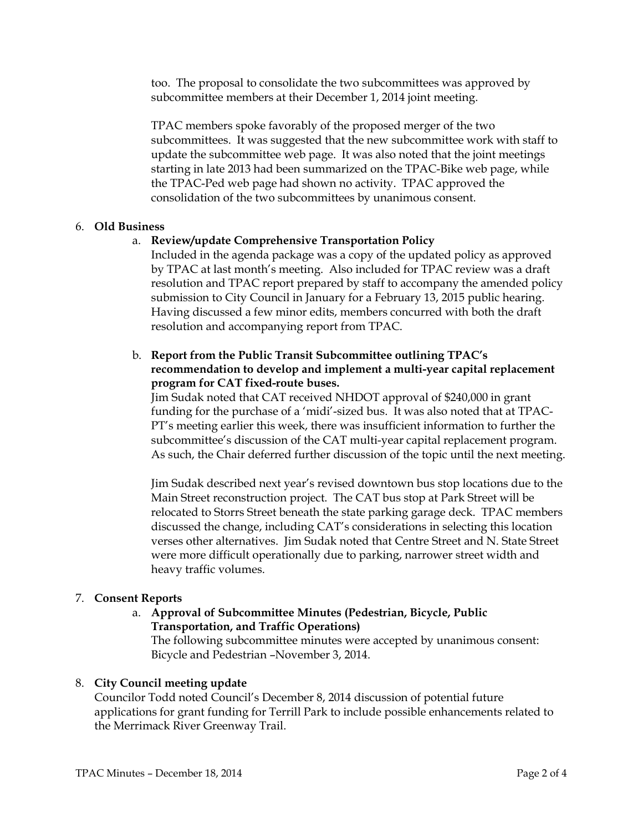too. The proposal to consolidate the two subcommittees was approved by subcommittee members at their December 1, 2014 joint meeting.

TPAC members spoke favorably of the proposed merger of the two subcommittees. It was suggested that the new subcommittee work with staff to update the subcommittee web page. It was also noted that the joint meetings starting in late 2013 had been summarized on the TPAC-Bike web page, while the TPAC-Ped web page had shown no activity. TPAC approved the consolidation of the two subcommittees by unanimous consent.

### 6. Old Business

# a. Review/update Comprehensive Transportation Policy

Included in the agenda package was a copy of the updated policy as approved by TPAC at last month's meeting. Also included for TPAC review was a draft resolution and TPAC report prepared by staff to accompany the amended policy submission to City Council in January for a February 13, 2015 public hearing. Having discussed a few minor edits, members concurred with both the draft resolution and accompanying report from TPAC.

# b. Report from the Public Transit Subcommittee outlining TPAC's recommendation to develop and implement a multi-year capital replacement program for CAT fixed-route buses.

Jim Sudak noted that CAT received NHDOT approval of \$240,000 in grant funding for the purchase of a 'midi'-sized bus. It was also noted that at TPAC-PT's meeting earlier this week, there was insufficient information to further the subcommittee's discussion of the CAT multi-year capital replacement program. As such, the Chair deferred further discussion of the topic until the next meeting.

Jim Sudak described next year's revised downtown bus stop locations due to the Main Street reconstruction project. The CAT bus stop at Park Street will be relocated to Storrs Street beneath the state parking garage deck. TPAC members discussed the change, including CAT's considerations in selecting this location verses other alternatives. Jim Sudak noted that Centre Street and N. State Street were more difficult operationally due to parking, narrower street width and heavy traffic volumes.

#### 7. Consent Reports

# a. Approval of Subcommittee Minutes (Pedestrian, Bicycle, Public Transportation, and Traffic Operations)

The following subcommittee minutes were accepted by unanimous consent: Bicycle and Pedestrian –November 3, 2014.

#### 8. City Council meeting update

Councilor Todd noted Council's December 8, 2014 discussion of potential future applications for grant funding for Terrill Park to include possible enhancements related to the Merrimack River Greenway Trail.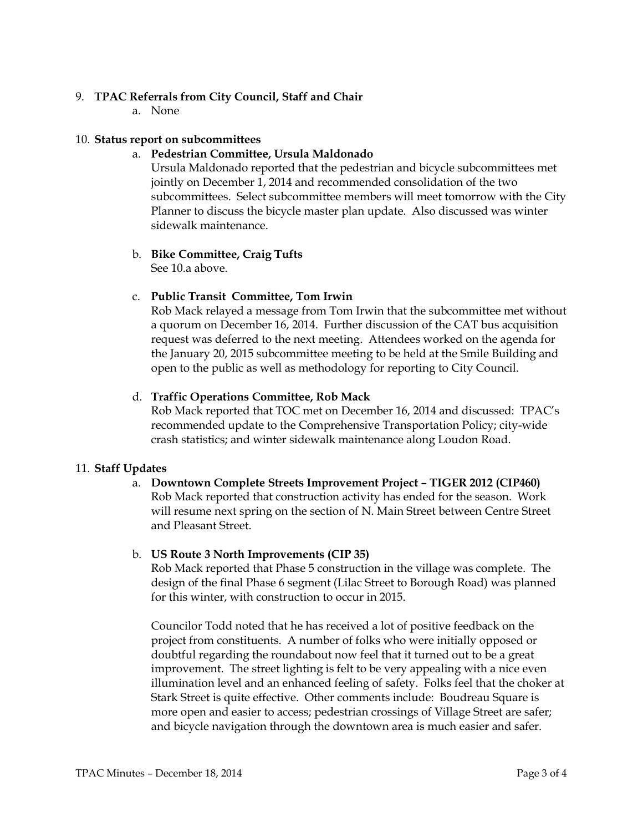### 9. TPAC Referrals from City Council, Staff and Chair

a. None

### 10. Status report on subcommittees

### a. Pedestrian Committee, Ursula Maldonado

Ursula Maldonado reported that the pedestrian and bicycle subcommittees met jointly on December 1, 2014 and recommended consolidation of the two subcommittees. Select subcommittee members will meet tomorrow with the City Planner to discuss the bicycle master plan update. Also discussed was winter sidewalk maintenance.

#### b. Bike Committee, Craig Tufts See 10.a above.

### c. Public Transit Committee, Tom Irwin

Rob Mack relayed a message from Tom Irwin that the subcommittee met without a quorum on December 16, 2014. Further discussion of the CAT bus acquisition request was deferred to the next meeting. Attendees worked on the agenda for the January 20, 2015 subcommittee meeting to be held at the Smile Building and open to the public as well as methodology for reporting to City Council.

### d. Traffic Operations Committee, Rob Mack

Rob Mack reported that TOC met on December 16, 2014 and discussed: TPAC's recommended update to the Comprehensive Transportation Policy; city-wide crash statistics; and winter sidewalk maintenance along Loudon Road.

#### 11. Staff Updates

# a. Downtown Complete Streets Improvement Project – TIGER 2012 (CIP460) Rob Mack reported that construction activity has ended for the season. Work will resume next spring on the section of N. Main Street between Centre Street and Pleasant Street.

#### b. US Route 3 North Improvements (CIP 35)

Rob Mack reported that Phase 5 construction in the village was complete. The design of the final Phase 6 segment (Lilac Street to Borough Road) was planned for this winter, with construction to occur in 2015.

Councilor Todd noted that he has received a lot of positive feedback on the project from constituents. A number of folks who were initially opposed or doubtful regarding the roundabout now feel that it turned out to be a great improvement. The street lighting is felt to be very appealing with a nice even illumination level and an enhanced feeling of safety. Folks feel that the choker at Stark Street is quite effective. Other comments include: Boudreau Square is more open and easier to access; pedestrian crossings of Village Street are safer; and bicycle navigation through the downtown area is much easier and safer.